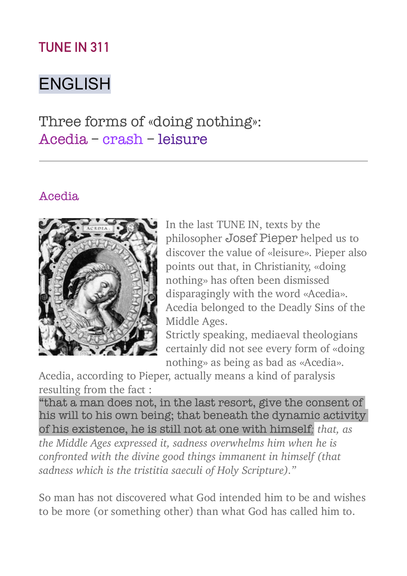## **TUNE IN 311**

# ENGLISH

Three forms of «doing nothing»: Acedia – crash – leisure

#### Acedia



In the last TUNE IN, texts by the philosopher Josef Pieper helped us to discover the value of «leisure». Pieper also points out that, in Christianity, «doing nothing» has often been dismissed disparagingly with the word «Acedia». Acedia belonged to the Deadly Sins of the Middle Ages.

Strictly speaking, mediaeval theologians certainly did not see every form of «doing nothing» as being as bad as «Acedia».

Acedia, according to Pieper, actually means a kind of paralysis resulting from the fact :

"that a man does not, in the last resort, give the consent of his will to his own being; that beneath the dynamic activity of his existence, he is still not at one with himself*; that, as the Middle Ages expressed it, sadness overwhelms him when he is confronted with the divine good things immanent in himself (that sadness which is the tristitia saeculi of Holy Scripture)."* 

So man has not discovered what God intended him to be and wishes to be more (or something other) than what God has called him to.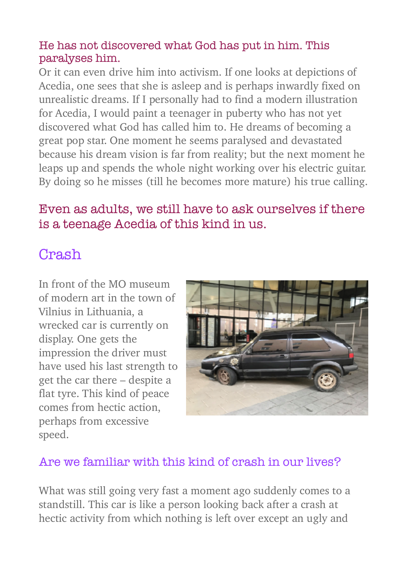#### He has not discovered what God has put in him. This paralyses him.

Or it can even drive him into activism. If one looks at depictions of Acedia, one sees that she is asleep and is perhaps inwardly fixed on unrealistic dreams. If I personally had to find a modern illustration for Acedia, I would paint a teenager in puberty who has not yet discovered what God has called him to. He dreams of becoming a great pop star. One moment he seems paralysed and devastated because his dream vision is far from reality; but the next moment he leaps up and spends the whole night working over his electric guitar. By doing so he misses (till he becomes more mature) his true calling.

## Even as adults, we still have to ask ourselves if there is a teenage Acedia of this kind in us.

## Crash

In front of the MO museum of modern art in the town of Vilnius in Lithuania, a wrecked car is currently on display. One gets the impression the driver must have used his last strength to get the car there – despite a flat tyre. This kind of peace comes from hectic action, perhaps from excessive speed.



### Are we familiar with this kind of crash in our lives?

What was still going very fast a moment ago suddenly comes to a standstill. This car is like a person looking back after a crash at hectic activity from which nothing is left over except an ugly and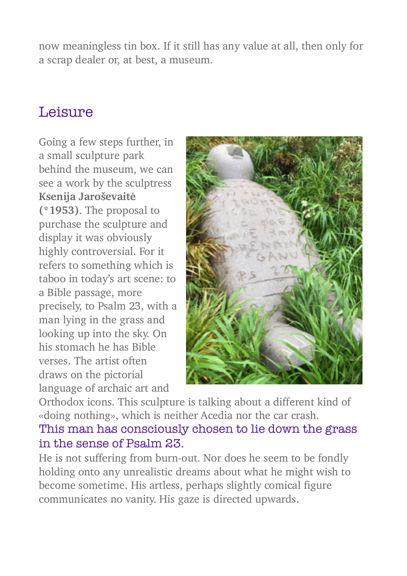now meaningless tin box. If it still has any value at all, then only for a scrap dealer or, at best, a museum.

## Leisure

Going a few steps further, in a small sculpture park behind the museum, we can see a work by the sculptress **Ksenija Jaroševaitė (\*1953)**. The proposal to purchase the sculpture and display it was obviously highly controversial. For it refers to something which is taboo in today's art scene: to a Bible passage, more precisely, to Psalm 23, with a man lying in the grass and looking up into the sky. On his stomach he has Bible verses. The artist often draws on the pictorial language of archaic art and



Orthodox icons. This sculpture is talking about a different kind of «doing nothing», which is neither Acedia nor the car crash. This man has consciously chosen to lie down the grass

### in the sense of Psalm 23.

He is not suffering from burn-out. Nor does he seem to be fondly holding onto any unrealistic dreams about what he might wish to become sometime. His artless, perhaps slightly comical figure communicates no vanity. His gaze is directed upwards.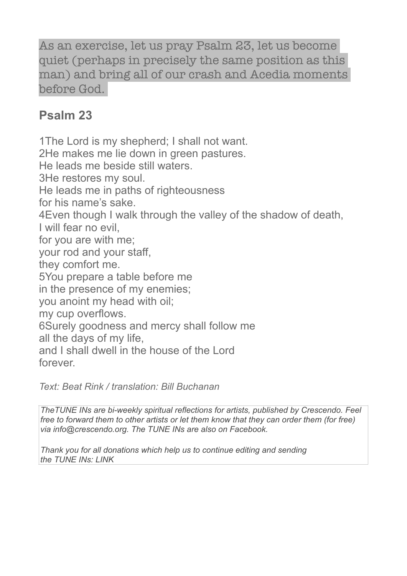As an exercise, let us pray Psalm 23, let us become quiet (perhaps in precisely the same position as this man) and bring all of our crash and Acedia moments before God.

### **Psalm 23**

1The Lord is my shepherd; I shall not want. 2He makes me lie down in green pastures. He leads me beside still waters. 3He restores my soul. He leads me in paths of righteousness for his name's sake. 4Even though I walk through the valley of the shadow of death, I will fear no evil, for you are with me; your rod and your staff, they comfort me. 5You prepare a table before me in the presence of my enemies; you anoint my head with oil; my cup overflows. 6Surely goodness and mercy shall follow me all the days of my life, and I shall dwell in the house of the Lord forever.

*Text: Beat Rink / translation: Bill Buchanan* 

*TheTUNE INs are bi-weekly spiritual reflections for artists, published by Crescendo. Feel free to forward them to other artists or let them know that they can order them (for free) via [info@crescendo.org](mailto:info@crescendo.org). The TUNE INs are also on [Facebook.](http://p.newslettertogo.com/pklockf7-w5laxb8i-l8pzfhcz-hm)* 

*Thank you for all donations which help us to continue editing and sending the TUNE INs: [LINK](http://p.newslettertogo.com/pklockf7-w5laxb8i-r6sl731f-11v1)*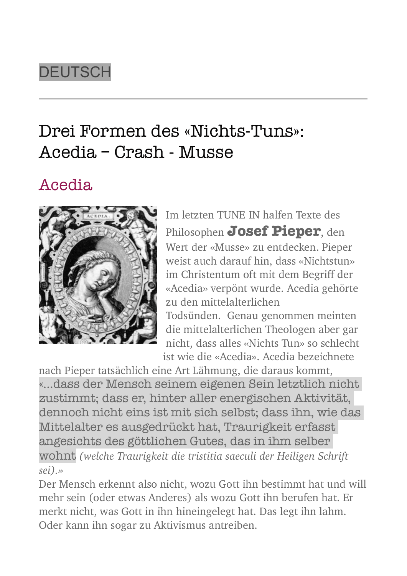# **DEUTSCH**

# Drei Formen des «Nichts-Tuns»: Acedia – Crash - Musse

## Acedia



Im letzten TUNE IN halfen Texte des Philosophen **Josef Pieper**, den Wert der «Musse» zu entdecken. Pieper weist auch darauf hin, dass «Nichtstun» im Christentum oft mit dem Begriff der «Acedia» verpönt wurde. Acedia gehörte zu den mittelalterlichen

Todsünden. Genau genommen meinten die mittelalterlichen Theologen aber gar nicht, dass alles «Nichts Tun» so schlecht ist wie die «Acedia». Acedia bezeichnete

nach Pieper tatsächlich eine Art Lähmung, die daraus kommt, «...dass der Mensch seinem eigenen Sein letztlich nicht zustimmt; dass er, hinter aller energischen Aktivität, dennoch nicht eins ist mit sich selbst; dass ihn, wie das Mittelalter es ausgedrückt hat, Traurigkeit erfasst angesichts des göttlichen Gutes, das in ihm selber wohnt *(welche Traurigkeit die tristitia saeculi der Heiligen Schrift sei).»*

Der Mensch erkennt also nicht, wozu Gott ihn bestimmt hat und will mehr sein (oder etwas Anderes) als wozu Gott ihn berufen hat. Er merkt nicht, was Gott in ihn hineingelegt hat. Das legt ihn lahm. Oder kann ihn sogar zu Aktivismus antreiben.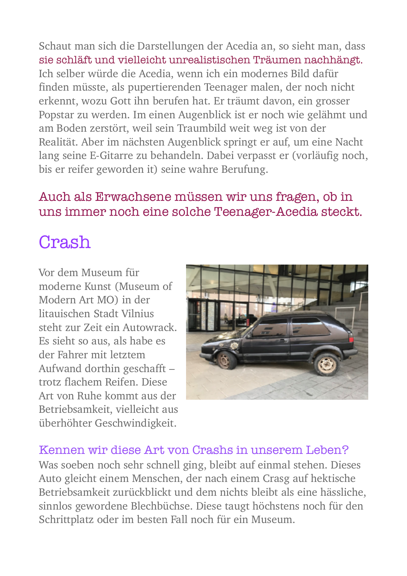Schaut man sich die Darstellungen der Acedia an, so sieht man, dass sie schläft und vielleicht unrealistischen Träumen nachhängt. Ich selber würde die Acedia, wenn ich ein modernes Bild dafür finden müsste, als pupertierenden Teenager malen, der noch nicht erkennt, wozu Gott ihn berufen hat. Er träumt davon, ein grosser Popstar zu werden. Im einen Augenblick ist er noch wie gelähmt und am Boden zerstört, weil sein Traumbild weit weg ist von der Realität. Aber im nächsten Augenblick springt er auf, um eine Nacht lang seine E-Gitarre zu behandeln. Dabei verpasst er (vorläufig noch, bis er reifer geworden it) seine wahre Berufung.

### Auch als Erwachsene müssen wir uns fragen, ob in uns immer noch eine solche Teenager-Acedia steckt.

# Crash

Vor dem Museum für moderne Kunst (Museum of Modern Art MO) in der litauischen Stadt Vilnius steht zur Zeit ein Autowrack. Es sieht so aus, als habe es der Fahrer mit letztem Aufwand dorthin geschafft – trotz flachem Reifen. Diese Art von Ruhe kommt aus der Betriebsamkeit, vielleicht aus überhöhter Geschwindigkeit.



#### Kennen wir diese Art von Crashs in unserem Leben?

Was soeben noch sehr schnell ging, bleibt auf einmal stehen. Dieses Auto gleicht einem Menschen, der nach einem Crasg auf hektische Betriebsamkeit zurückblickt und dem nichts bleibt als eine hässliche, sinnlos gewordene Blechbüchse. Diese taugt höchstens noch für den Schrittplatz oder im besten Fall noch für ein Museum.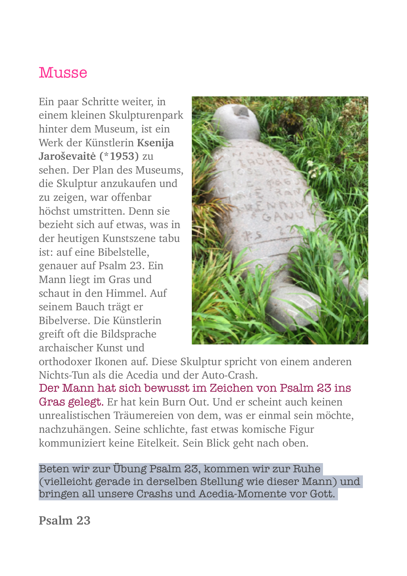## **Musse**

Ein paar Schritte weiter, in einem kleinen Skulpturenpark hinter dem Museum, ist ein Werk der Künstlerin **Ksenija Jaroševaitė (\*1953)** zu sehen. Der Plan des Museums, die Skulptur anzukaufen und zu zeigen, war offenbar höchst umstritten. Denn sie bezieht sich auf etwas, was in der heutigen Kunstszene tabu ist: auf eine Bibelstelle, genauer auf Psalm 23. Ein Mann liegt im Gras und schaut in den Himmel. Auf seinem Bauch trägt er Bibelverse. Die Künstlerin greift oft die Bildsprache archaischer Kunst und



orthodoxer Ikonen auf. Diese Skulptur spricht von einem anderen Nichts-Tun als die Acedia und der Auto-Crash.

Der Mann hat sich bewusst im Zeichen von Psalm 23 ins Gras gelegt. Er hat kein Burn Out. Und er scheint auch keinen unrealistischen Träumereien von dem, was er einmal sein möchte, nachzuhängen. Seine schlichte, fast etwas komische Figur kommuniziert keine Eitelkeit. Sein Blick geht nach oben.

Beten wir zur Übung Psalm 23, kommen wir zur Ruhe (vielleicht gerade in derselben Stellung wie dieser Mann) und bringen all unsere Crashs und Acedia-Momente vor Gott.

**Psalm 23**